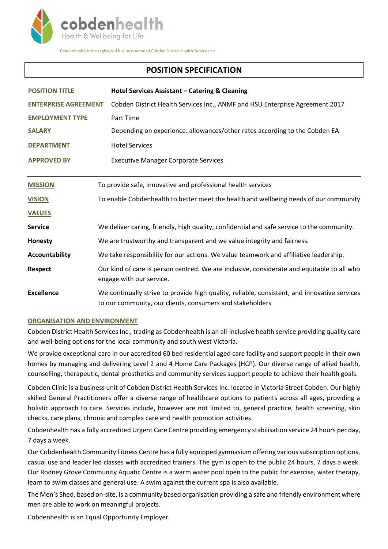

Cobdenhealth is the registered business name of Cobden District Health Services Inc.

# **POSITION SPECIFICATION**

| <b>POSITION TITLE</b>       | Hotel Services Assistant - Catering & Cleaning                                                                                                            |
|-----------------------------|-----------------------------------------------------------------------------------------------------------------------------------------------------------|
| <b>ENTERPRISE AGREEMENT</b> | Cobden District Health Services Inc., ANMF and HSU Enterprise Agreement 2017                                                                              |
| <b>EMPLOYMENT TYPE</b>      | Part Time                                                                                                                                                 |
| <b>SALARY</b>               | Depending on experience. allowances/other rates according to the Cobden EA                                                                                |
| <b>DEPARTMENT</b>           | <b>Hotel Services</b>                                                                                                                                     |
| <b>APPROVED BY</b>          | <b>Executive Manager Corporate Services</b>                                                                                                               |
|                             |                                                                                                                                                           |
| <b>MISSION</b>              | To provide safe, innovative and professional health services                                                                                              |
| <b>VISION</b>               | To enable Cobdenhealth to better meet the health and wellbeing needs of our community                                                                     |
| <b>VALUES</b>               |                                                                                                                                                           |
| <b>Service</b>              | We deliver caring, friendly, high quality, confidential and safe service to the community.                                                                |
| Honesty                     | We are trustworthy and transparent and we value integrity and fairness.                                                                                   |
| <b>Accountability</b>       | We take responsibility for our actions. We value teamwork and affiliative leadership.                                                                     |
| <b>Respect</b>              | Our kind of care is person centred. We are inclusive, considerate and equitable to all who<br>engage with our service.                                    |
| <b>Excellence</b>           | We continually strive to provide high quality, reliable, consistent, and innovative services<br>to our community, our clients, consumers and stakeholders |

## **ORGANISATION AND ENVIRONMENT**

Cobden District Health Services Inc., trading as Cobdenhealth is an all-inclusive health service providing quality care and well-being options for the local community and south west Victoria.

We provide exceptional care in our accredited 60 bed residential aged care facility and support people in their own homes by managing and delivering Level 2 and 4 Home Care Packages (HCP). Our diverse range of allied health, counselling, therapeutic, dental prosthetics and community services support people to achieve their health goals.

Cobden Clinic is a business unit of Cobden District Health Services Inc. located in Victoria Street Cobden. Our highly skilled General Practitioners offer a diverse range of healthcare options to patients across all ages, providing a holistic approach to care. Services include, however are not limited to, general practice, health screening, skin checks, care plans, chronic and complex care and health promotion activities.

Cobdenhealth has a fully accredited Urgent Care Centre providing emergency stabilisation service 24 hours per day, 7 days a week.

Our Cobdenhealth Community Fitness Centre has a fully equipped gymnasium offering various subscription options, casual use and leader led classes with accredited trainers. The gym is open to the public 24 hours, 7 days a week. Our Rodney Grove Community Aquatic Centre is a warm water pool open to the public for exercise, water therapy, learn to swim classes and general use. A swim against the current spa is also available.

The Men's Shed, based on-site, is a community based organisation providing a safe and friendly environment where men are able to work on meaningful projects.

Cobdenhealth is an Equal Opportunity Employer.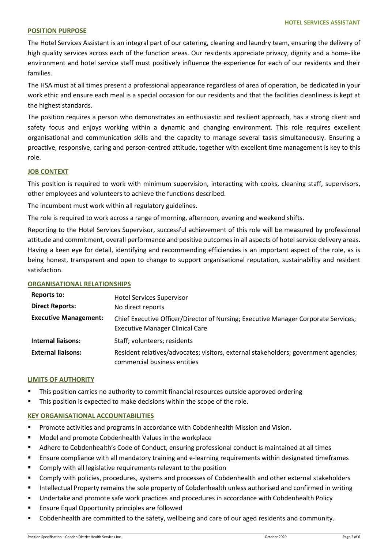#### **POSITION PURPOSE**

The Hotel Services Assistant is an integral part of our catering, cleaning and laundry team, ensuring the delivery of high quality services across each of the function areas. Our residents appreciate privacy, dignity and a home-like environment and hotel service staff must positively influence the experience for each of our residents and their families.

The HSA must at all times present a professional appearance regardless of area of operation, be dedicated in your work ethic and ensure each meal is a special occasion for our residents and that the facilities cleanliness is kept at the highest standards.

The position requires a person who demonstrates an enthusiastic and resilient approach, has a strong client and safety focus and enjoys working within a dynamic and changing environment. This role requires excellent organisational and communication skills and the capacity to manage several tasks simultaneously. Ensuring a proactive, responsive, caring and person-centred attitude, together with excellent time management is key to this role.

#### **JOB CONTEXT**

This position is required to work with minimum supervision, interacting with cooks, cleaning staff, supervisors, other employees and volunteers to achieve the functions described.

The incumbent must work within all regulatory guidelines.

The role is required to work across a range of morning, afternoon, evening and weekend shifts.

Reporting to the Hotel Services Supervisor, successful achievement of this role will be measured by professional attitude and commitment, overall performance and positive outcomes in all aspects of hotel service delivery areas. Having a keen eye for detail, identifying and recommending efficiencies is an important aspect of the role, as is being honest, transparent and open to change to support organisational reputation, sustainability and resident satisfaction.

## **ORGANISATIONAL RELATIONSHIPS**

| Reports to:                  | <b>Hotel Services Supervisor</b>                                                                                             |
|------------------------------|------------------------------------------------------------------------------------------------------------------------------|
| <b>Direct Reports:</b>       | No direct reports                                                                                                            |
| <b>Executive Management:</b> | Chief Executive Officer/Director of Nursing; Executive Manager Corporate Services;<br><b>Executive Manager Clinical Care</b> |
| <b>Internal liaisons:</b>    | Staff; volunteers; residents                                                                                                 |
| <b>External liaisons:</b>    | Resident relatives/advocates; visitors, external stakeholders; government agencies;<br>commercial business entities          |

#### **LIMITS OF AUTHORITY**

- This position carries no authority to commit financial resources outside approved ordering
- **This position is expected to make decisions within the scope of the role.**

## **KEY ORGANISATIONAL ACCOUNTABILITIES**

- **Promote activities and programs in accordance with Cobdenhealth Mission and Vision.**
- **Model and promote Cobdenhealth Values in the workplace**
- Adhere to Cobdenhealth's Code of Conduct, ensuring professional conduct is maintained at all times
- **Ensure compliance with all mandatory training and e-learning requirements within designated timeframes**
- **EXECOMPLAN** Comply with all legislative requirements relevant to the position
- Comply with policies, procedures, systems and processes of Cobdenhealth and other external stakeholders
- **Intellectual Property remains the sole property of Cobdenhealth unless authorised and confirmed in writing**
- **Undertake and promote safe work practices and procedures in accordance with Cobdenhealth Policy**
- **Ensure Equal Opportunity principles are followed**
- Cobdenhealth are committed to the safety, wellbeing and care of our aged residents and community.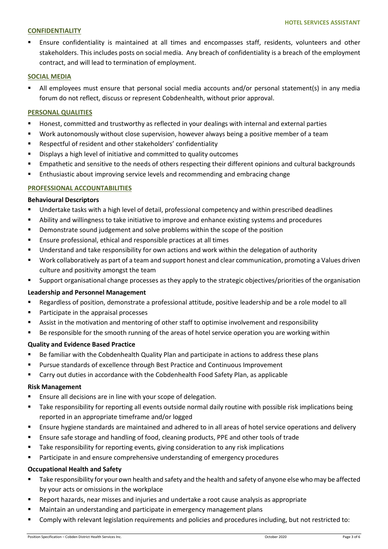#### **CONFIDENTIALITY**

 Ensure confidentiality is maintained at all times and encompasses staff, residents, volunteers and other stakeholders. This includes posts on social media. Any breach of confidentiality is a breach of the employment contract, and will lead to termination of employment.

#### **SOCIAL MEDIA**

 All employees must ensure that personal social media accounts and/or personal statement(s) in any media forum do not reflect, discuss or represent Cobdenhealth, without prior approval.

## **PERSONAL QUALITIES**

- Honest, committed and trustworthy as reflected in your dealings with internal and external parties
- Work autonomously without close supervision, however always being a positive member of a team
- Respectful of resident and other stakeholders' confidentiality
- **EXECT** Displays a high level of initiative and committed to quality outcomes
- Empathetic and sensitive to the needs of others respecting their different opinions and cultural backgrounds
- **Enthusiastic about improving service levels and recommending and embracing change**

# **PROFESSIONAL ACCOUNTABILITIES**

#### **Behavioural Descriptors**

- Undertake tasks with a high level of detail, professional competency and within prescribed deadlines
- Ability and willingness to take initiative to improve and enhance existing systems and procedures
- **•** Demonstrate sound judgement and solve problems within the scope of the position
- **Ensure professional, ethical and responsible practices at all times**
- Understand and take responsibility for own actions and work within the delegation of authority
- Work collaboratively as part of a team and support honest and clear communication, promoting a Values driven culture and positivity amongst the team
- Support organisational change processes as they apply to the strategic objectives/priorities of the organisation

## **Leadership and Personnel Management**

- Regardless of position, demonstrate a professional attitude, positive leadership and be a role model to all
- **Participate in the appraisal processes**
- Assist in the motivation and mentoring of other staff to optimise involvement and responsibility
- Be responsible for the smooth running of the areas of hotel service operation you are working within

## **Quality and Evidence Based Practice**

- Be familiar with the Cobdenhealth Quality Plan and participate in actions to address these plans
- Pursue standards of excellence through Best Practice and Continuous Improvement
- Carry out duties in accordance with the Cobdenhealth Food Safety Plan, as applicable

## **Risk Management**

- **Ensure all decisions are in line with your scope of delegation.**
- Take responsibility for reporting all events outside normal daily routine with possible risk implications being reported in an appropriate timeframe and/or logged
- Ensure hygiene standards are maintained and adhered to in all areas of hotel service operations and delivery
- Ensure safe storage and handling of food, cleaning products, PPE and other tools of trade
- Take responsibility for reporting events, giving consideration to any risk implications
- Participate in and ensure comprehensive understanding of emergency procedures

## **Occupational Health and Safety**

- Take responsibility for your own health and safety and the health and safety of anyone else who may be affected by your acts or omissions in the workplace
- Report hazards, near misses and injuries and undertake a root cause analysis as appropriate
- **E** Maintain an understanding and participate in emergency management plans
- Comply with relevant legislation requirements and policies and procedures including, but not restricted to: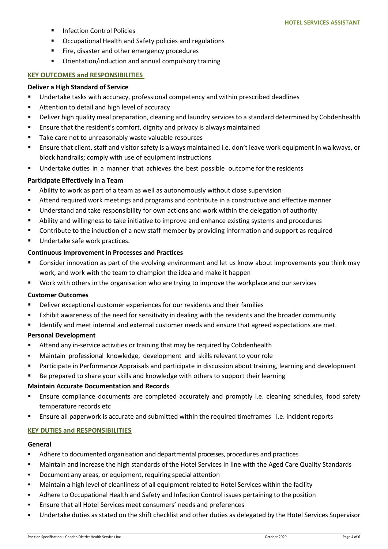- **Infection Control Policies**
- Occupational Health and Safety policies and regulations
- **Fire, disaster and other emergency procedures**
- Orientation/induction and annual compulsory training

## **KEY OUTCOMES and RESPONSIBILITIES**

#### **Deliver a High Standard of Service**

- Undertake tasks with accuracy, professional competency and within prescribed deadlines
- Attention to detail and high level of accuracy
- **Deliver high quality meal preparation, cleaning and laundry services to a standard determined by Cobdenhealth**
- Ensure that the resident's comfort, dignity and privacy is always maintained
- Take care not to unreasonably waste valuable resources
- Ensure that client, staff and visitor safety is always maintained i.e. don't leave work equipment in walkways, or block handrails; comply with use of equipment instructions
- Undertake duties in a manner that achieves the best possible outcome for the residents

# **Participate Effectively in a Team**

- Ability to work as part of a team as well as autonomously without close supervision
- Attend required work meetings and programs and contribute in a constructive and effective manner
- Understand and take responsibility for own actions and work within the delegation of authority
- Ability and willingness to take initiative to improve and enhance existing systems and procedures
- Contribute to the induction of a new staff member by providing information and support as required
- **Undertake safe work practices.**

# **Continuous Improvement in Processes and Practices**

- Consider innovation as part of the evolving environment and let us know about improvements you think may work, and work with the team to champion the idea and make it happen
- Work with others in the organisation who are trying to improve the workplace and our services

## **Customer Outcomes**

- Deliver exceptional customer experiences for our residents and their families
- Exhibit awareness of the need for sensitivity in dealing with the residents and the broader community
- Identify and meet internal and external customer needs and ensure that agreed expectations are met.

## **Personal Development**

- Attend any in-service activities or training that may be required by Cobdenhealth
- Maintain professional knowledge, development and skills relevant to your role
- Participate in Performance Appraisals and participate in discussion about training, learning and development
- **Be prepared to share your skills and knowledge with others to support their learning**

## **Maintain Accurate Documentation and Records**

- Ensure compliance documents are completed accurately and promptly i.e. cleaning schedules, food safety temperature records etc
- Ensure all paperwork is accurate and submitted within the required timeframes i.e. incident reports

## **KEY DUTIES and RESPONSIBILITIES**

## **General**

- Adhere to documented organisation and departmental processes, procedures and practices
- Maintain and increase the high standards of the Hotel Services in line with the Aged Care Quality Standards
- **•** Document any areas, or equipment, requiring special attention
- Maintain a high level of cleanliness of all equipment related to Hotel Services within the facility
- Adhere to Occupational Health and Safety and Infection Control issues pertaining to the position
- Ensure that all Hotel Services meet consumers' needs and preferences
- Undertake duties as stated on the shift checklist and other duties as delegated by the Hotel Services Supervisor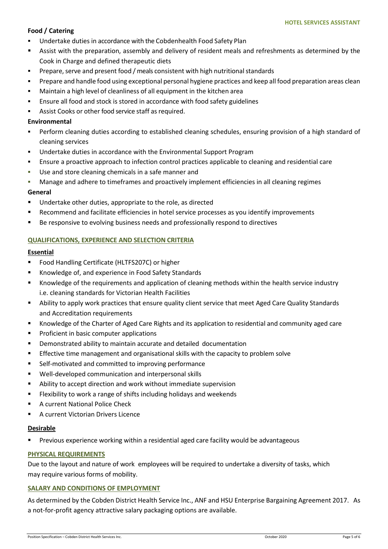# **Food / Catering**

- Undertake duties in accordance with the Cobdenhealth Food Safety Plan
- Assist with the preparation, assembly and delivery of resident meals and refreshments as determined by the Cook in Charge and defined therapeutic diets
- **Prepare, serve and present food / meals consistent with high nutritional standards**
- Prepare and handle food using exceptional personal hygiene practices and keep all food preparation areas clean
- Maintain a high level of cleanliness of all equipment in the kitchen area
- **Ensure all food and stock is stored in accordance with food safety guidelines**
- Assist Cooks or other food service staff as required.

# **Environmental**

- Perform cleaning duties according to established cleaning schedules, ensuring provision of a high standard of cleaning services
- Undertake duties in accordance with the Environmental Support Program
- Ensure a proactive approach to infection control practices applicable to cleaning and residential care
- Use and store cleaning chemicals in a safe manner and
- Manage and adhere to timeframes and proactively implement efficiencies in all cleaning regimes

# **General**

- Undertake other duties, appropriate to the role, as directed
- Recommend and facilitate efficiencies in hotel service processes as you identify improvements
- **Be responsive to evolving business needs and professionally respond to directives**

# **QUALIFICATIONS, EXPERIENCE AND SELECTION CRITERIA**

## **Essential**

- **FILM** Food Handling Certificate (HLTFS207C) or higher
- Knowledge of, and experience in Food Safety Standards
- Knowledge of the requirements and application of cleaning methods within the health service industry i.e. cleaning standards for Victorian Health Facilities
- Ability to apply work practices that ensure quality client service that meet Aged Care Quality Standards and Accreditation requirements
- Knowledge of the Charter of Aged Care Rights and its application to residential and community aged care
- **Proficient in basic computer applications**
- **•** Demonstrated ability to maintain accurate and detailed documentation
- **Effective time management and organisational skills with the capacity to problem solve**
- Self-motivated and committed to improving performance
- Well-developed communication and interpersonal skills
- Ability to accept direction and work without immediate supervision
- **FILE ATT ATTS:** Flexibility to work a range of shifts including holidays and weekends
- A current National Police Check
- A current Victorian Drivers Licence

# **Desirable**

Previous experience working within a residential aged care facility would be advantageous

# **PHYSICAL REQUIREMENTS**

Due to the layout and nature of work employees will be required to undertake a diversity of tasks, which may require various forms of mobility.

## **SALARY AND CONDITIONS OF EMPLOYMENT**

As determined by the Cobden District Health Service Inc., ANF and HSU Enterprise Bargaining Agreement 2017. As a not-for-profit agency attractive salary packaging options are available.